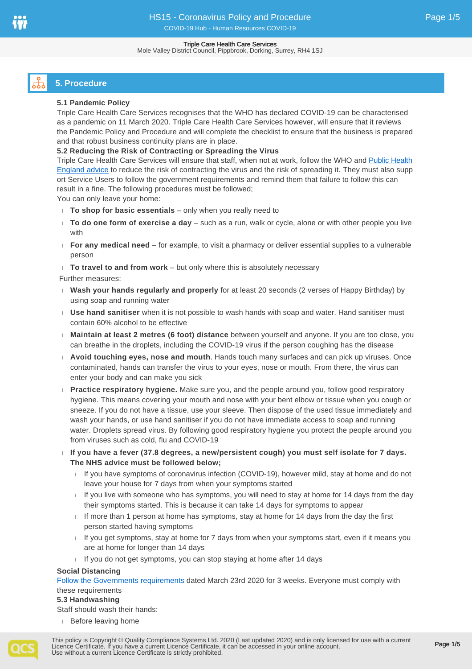# **5. Procedure**

# **5.1 Pandemic Policy**

Triple Care Health Care Services recognises that the WHO has declared COVID-19 can be characterised as a pandemic on 11 March 2020. Triple Care Health Care Services however, will ensure that it reviews the Pandemic Policy and Procedure and will complete the checklist to ensure that the business is prepared and that robust business continuity plans are in place.

# **5.2 Reducing the Risk of Contracting or Spreading the Virus**

Triple Care Health Care Services will ensure that staff, when not at work, follow the WHO and [Public Health](https://www.gov.uk/government/publications/covid-19-guidance-on-social-distancing-and-for-vulnerable-people/guidance-on-social-distancing-for-everyone-in-the-uk-and-protecting-older-people-and-vulnerable-adults)  [England advice](https://www.gov.uk/government/publications/covid-19-guidance-on-social-distancing-and-for-vulnerable-people/guidance-on-social-distancing-for-everyone-in-the-uk-and-protecting-older-people-and-vulnerable-adults) to reduce the risk of contracting the virus and the risk of spreading it. They must also supp ort Service Users to follow the government requirements and remind them that failure to follow this can result in a fine. The following procedures must be followed;

You can only leave your home:

- **To shop for basic essentials** only when you really need to
- **To do one form of exercise a day** such as a run, walk or cycle, alone or with other people you live with
- **For any medical need** for example, to visit a pharmacy or deliver essential supplies to a vulnerable person
- **To travel to and from work** but only where this is absolutely necessary

Further measures:

- **Wash your hands regularly and properly** for at least 20 seconds (2 verses of Happy Birthday) by using soap and running water
- **Use hand sanitiser** when it is not possible to wash hands with soap and water. Hand sanitiser must contain 60% alcohol to be effective
- **Maintain at least 2 metres (6 foot) distance** between yourself and anyone. If you are too close, you can breathe in the droplets, including the COVID-19 virus if the person coughing has the disease
- **Avoid touching eyes, nose and mouth**. Hands touch many surfaces and can pick up viruses. Once contaminated, hands can transfer the virus to your eyes, nose or mouth. From there, the virus can enter your body and can make you sick
- **Practice respiratory hygiene.** Make sure you, and the people around you, follow good respiratory hygiene. This means covering your mouth and nose with your bent elbow or tissue when you cough or sneeze. If you do not have a tissue, use your sleeve. Then dispose of the used tissue immediately and wash your hands, or use hand sanitiser if you do not have immediate access to soap and running water. Droplets spread virus. By following good respiratory hygiene you protect the people around you from viruses such as cold, flu and COVID-19
- **If you have a fever (37.8 degrees, a new/persistent cough) you must self isolate for 7 days. The NHS advice must be followed below;**
	- If you have symptoms of coronavirus infection (COVID-19), however mild, stay at home and do not leave your house for 7 days from when your symptoms started
	- If you live with someone who has symptoms, you will need to stay at home for 14 days from the day their symptoms started. This is because it can take 14 days for symptoms to appear
	- If more than 1 person at home has symptoms, stay at home for 14 days from the day the first person started having symptoms
	- If you get symptoms, stay at home for  $7$  days from when your symptoms start, even if it means you are at home for longer than 14 days
	- If you do not get symptoms, you can stop staying at home after 14 days

## **Social Distancing**

[Follow the Governments requirements](https://assets.publishing.service.gov.uk/government/uploads/system/uploads/attachment_data/file/874738/Full_guidance_on_staying_at_home_and_away_from_others.pdf) dated March 23rd 2020 for 3 weeks. Everyone must comply with these requirements

# **5.3 Handwashing**

Staff should wash their hands:

Before leaving home

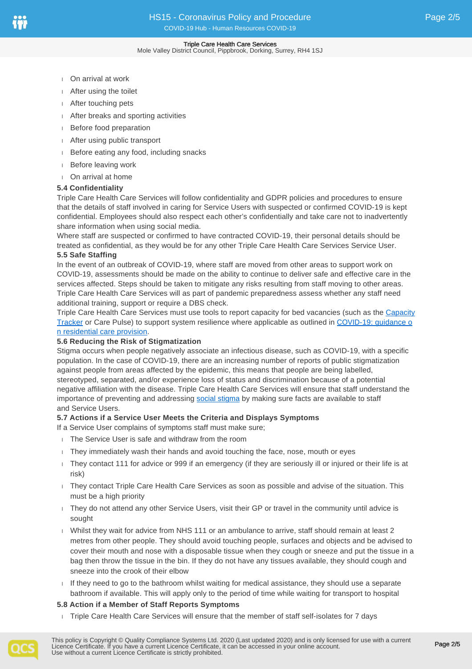- On arrival at work
- After using the toilet
- After touching pets
- After breaks and sporting activities
- Before food preparation
- After using public transport
- Before eating any food, including snacks
- Before leaving work
- On arrival at home

# **5.4 Confidentiality**

Triple Care Health Care Services will follow confidentiality and GDPR policies and procedures to ensure that the details of staff involved in caring for Service Users with suspected or confirmed COVID-19 is kept confidential. Employees should also respect each other's confidentially and take care not to inadvertently share information when using social media.

Where staff are suspected or confirmed to have contracted COVID-19, their personal details should be treated as confidential, as they would be for any other Triple Care Health Care Services Service User.

## **5.5 Safe Staffing**

In the event of an outbreak of COVID-19, where staff are moved from other areas to support work on COVID-19, assessments should be made on the ability to continue to deliver safe and effective care in the services affected. Steps should be taken to mitigate any risks resulting from staff moving to other areas. Triple Care Health Care Services will as part of pandemic preparedness assess whether any staff need additional training, support or require a DBS check.

Triple Care Health Care Services must use tools to report capacity for bed vacancies (such as the [Capacity](https://www.necsu.nhs.uk/services/system-wide-transformation/capacity-tracker)  [Tracker](https://www.necsu.nhs.uk/services/system-wide-transformation/capacity-tracker) or Care Pulse) to support system resilience where applicable as outlined in COVID-19: quidance o [n residential care provision.](https://www.gov.uk/government/publications/covid-19-residential-care-supported-living-and-home-care-guidance/covid-19-guidance-on-residential-care-provision)

## **5.6 Reducing the Risk of Stigmatization**

Stigma occurs when people negatively associate an infectious disease, such as COVID-19, with a specific population. In the case of COVID-19, there are an increasing number of reports of public stigmatization against people from areas affected by the epidemic, this means that people are being labelled, stereotyped, separated, and/or experience loss of status and discrimination because of a potential negative affiliation with the disease. Triple Care Health Care Services will ensure that staff understand the importance of preventing and addressing [social stigma](https://www.epi-win.com/sites/epiwin/files/content/attachments/2020-02-24/COVID19%20Stigma%20Guide%2024022020_1.pdf) by making sure facts are available to staff and Service Users.

# **5.7 Actions if a Service User Meets the Criteria and Displays Symptoms**

- If a Service User complains of symptoms staff must make sure;
- The Service User is safe and withdraw from the room
- They immediately wash their hands and avoid touching the face, nose, mouth or eyes
- They contact 111 for advice or 999 if an emergency (if they are seriously ill or injured or their life is at risk)
- They contact Triple Care Health Care Services as soon as possible and advise of the situation. This must be a high priority
- They do not attend any other Service Users, visit their GP or travel in the community until advice is sought
- Whilst they wait for advice from NHS 111 or an ambulance to arrive, staff should remain at least 2 metres from other people. They should avoid touching people, surfaces and objects and be advised to cover their mouth and nose with a disposable tissue when they cough or sneeze and put the tissue in a bag then throw the tissue in the bin. If they do not have any tissues available, they should cough and sneeze into the crook of their elbow
- If they need to go to the bathroom whilst waiting for medical assistance, they should use a separate bathroom if available. This will apply only to the period of time while waiting for transport to hospital

# **5.8 Action if a Member of Staff Reports Symptoms**

Triple Care Health Care Services will ensure that the member of staff self-isolates for 7 days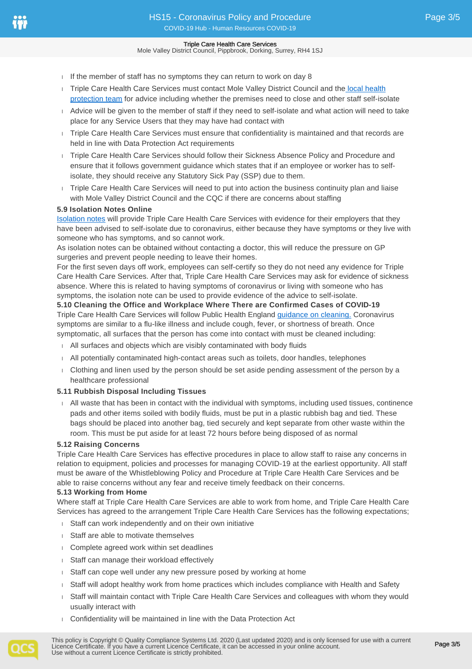If the member of staff has no symptoms they can return to work on day  $8$ 

- Triple Care Health Care Services must contact Mole Valley District Council and the local health [protection team](https://www.gov.uk/health-protection-team) for advice including whether the premises need to close and other staff self-isolate
- Advice will be given to the member of staff if they need to self-isolate and what action will need to take place for any Service Users that they may have had contact with
- Triple Care Health Care Services must ensure that confidentiality is maintained and that records are held in line with Data Protection Act requirements
- Triple Care Health Care Services should follow their Sickness Absence Policy and Procedure and ensure that it follows government guidance which states that if an employee or worker has to selfisolate, they should receive any Statutory Sick Pay (SSP) due to them.
- Triple Care Health Care Services will need to put into action the business continuity plan and liaise with Mole Valley District Council and the CQC if there are concerns about staffing

## **5.9 Isolation Notes Online**

[Isolation notes](https://111.nhs.uk/isolation-note/) will provide Triple Care Health Care Services with evidence for their employers that they have been advised to self-isolate due to coronavirus, either because they have symptoms or they live with someone who has symptoms, and so cannot work.

As isolation notes can be obtained without contacting a doctor, this will reduce the pressure on GP surgeries and prevent people needing to leave their homes.

For the first seven days off work, employees can self-certify so they do not need any evidence for Triple Care Health Care Services. After that, Triple Care Health Care Services may ask for evidence of sickness absence. Where this is related to having symptoms of coronavirus or living with someone who has symptoms, the isolation note can be used to provide evidence of the advice to self-isolate.

# **5.10 Cleaning the Office and Workplace Where There are Confirmed Cases of COVID-19**

Triple Care Health Care Services will follow Public Health England [guidance on cleaning.](https://www.gov.uk/government/publications/covid-19-decontamination-in-non-healthcare-settings/covid-19-decontamination-in-non-healthcare-settings) Coronavirus symptoms are similar to a flu-like illness and include cough, fever, or shortness of breath. Once symptomatic, all surfaces that the person has come into contact with must be cleaned including:

- All surfaces and objects which are visibly contaminated with body fluids
- All potentially contaminated high-contact areas such as toilets, door handles, telephones
- Clothing and linen used by the person should be set aside pending assessment of the person by a healthcare professional

## **5.11 Rubbish Disposal Including Tissues**

 All waste that has been in contact with the individual with symptoms, including used tissues, continence pads and other items soiled with bodily fluids, must be put in a plastic rubbish bag and tied. These bags should be placed into another bag, tied securely and kept separate from other waste within the room. This must be put aside for at least 72 hours before being disposed of as normal

#### **5.12 Raising Concerns**

Triple Care Health Care Services has effective procedures in place to allow staff to raise any concerns in relation to equipment, policies and processes for managing COVID-19 at the earliest opportunity. All staff must be aware of the Whistleblowing Policy and Procedure at Triple Care Health Care Services and be able to raise concerns without any fear and receive timely feedback on their concerns.

#### **5.13 Working from Home**

Where staff at Triple Care Health Care Services are able to work from home, and Triple Care Health Care Services has agreed to the arrangement Triple Care Health Care Services has the following expectations;

- Staff can work independently and on their own initiative
- Staff are able to motivate themselves
- Complete agreed work within set deadlines
- Staff can manage their workload effectively
- Staff can cope well under any new pressure posed by working at home
- Staff will adopt healthy work from home practices which includes compliance with Health and Safety
- Staff will maintain contact with Triple Care Health Care Services and colleagues with whom they would usually interact with
- Confidentiality will be maintained in line with the Data Protection Act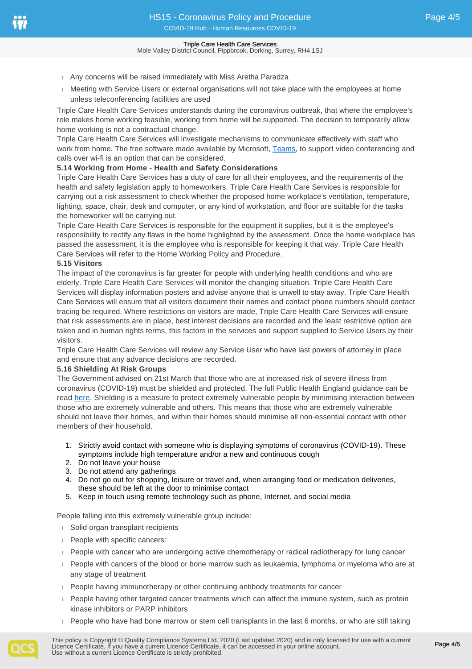- Any concerns will be raised immediately with Miss Aretha Paradza
- **Meeting with Service Users or external organisations will not take place with the employees at home** unless teleconferencing facilities are used

Triple Care Health Care Services understands during the coronavirus outbreak, that where the employee's role makes home working feasible, working from home will be supported. The decision to temporarily allow home working is not a contractual change.

Triple Care Health Care Services will investigate mechanisms to communicate effectively with staff who work from home. The free software made available by Microsoft, [Teams](https://www.microsoft.com/en-gb), to support video conferencing and calls over wi-fi is an option that can be considered.

# **5.14 Working from Home - Health and Safety Considerations**

Triple Care Health Care Services has a duty of care for all their employees, and the requirements of the health and safety legislation apply to homeworkers. Triple Care Health Care Services is responsible for carrying out a risk assessment to check whether the proposed home workplace's ventilation, temperature, lighting, space, chair, desk and computer, or any kind of workstation, and floor are suitable for the tasks the homeworker will be carrying out.

Triple Care Health Care Services is responsible for the equipment it supplies, but it is the employee's responsibility to rectify any flaws in the home highlighted by the assessment. Once the home workplace has passed the assessment, it is the employee who is responsible for keeping it that way. Triple Care Health Care Services will refer to the Home Working Policy and Procedure.

# **5.15 Visitors**

The impact of the coronavirus is far greater for people with underlying health conditions and who are elderly. Triple Care Health Care Services will monitor the changing situation. Triple Care Health Care Services will display information posters and advise anyone that is unwell to stay away. Triple Care Health Care Services will ensure that all visitors document their names and contact phone numbers should contact tracing be required. Where restrictions on visitors are made, Triple Care Health Care Services will ensure that risk assessments are in place, best interest decisions are recorded and the least restrictive option are taken and in human rights terms, this factors in the services and support supplied to Service Users by their visitors.

Triple Care Health Care Services will review any Service User who have last powers of attorney in place and ensure that any advance decisions are recorded.

## **5.16 Shielding At Risk Groups**

The Government advised on 21st March that those who are at increased risk of severe illness from coronavirus (COVID-19) must be shielded and protected. The full Public Health England guidance can be read [here](https://www.gov.uk/government/publications/guidance-on-shielding-and-protecting-extremely-vulnerable-persons-from-covid-19/guidance-on-shielding-and-protecting-extremely-vulnerable-persons-from-covid-19). Shielding is a measure to protect extremely vulnerable people by minimising interaction between those who are extremely vulnerable and others. This means that those who are extremely vulnerable should not leave their homes, and within their homes should minimise all non-essential contact with other members of their household.

- 1. Strictly avoid contact with someone who is displaying symptoms of coronavirus (COVID-19). These symptoms include high temperature and/or a new and continuous cough
- 2. Do not leave your house
- 3. Do not attend any gatherings
- 4. Do not go out for shopping, leisure or travel and, when arranging food or medication deliveries, these should be left at the door to minimise contact
- 5. Keep in touch using remote technology such as phone, Internet, and social media

People falling into this extremely vulnerable group include:

- Solid organ transplant recipients
- **People with specific cancers:**
- People with cancer who are undergoing active chemotherapy or radical radiotherapy for lung cancer
- People with cancers of the blood or bone marrow such as leukaemia, lymphoma or myeloma who are at any stage of treatment
- People having immunotherapy or other continuing antibody treatments for cancer
- People having other targeted cancer treatments which can affect the immune system, such as protein kinase inhibitors or PARP inhibitors
- $\Box$  People who have had bone marrow or stem cell transplants in the last 6 months, or who are still taking